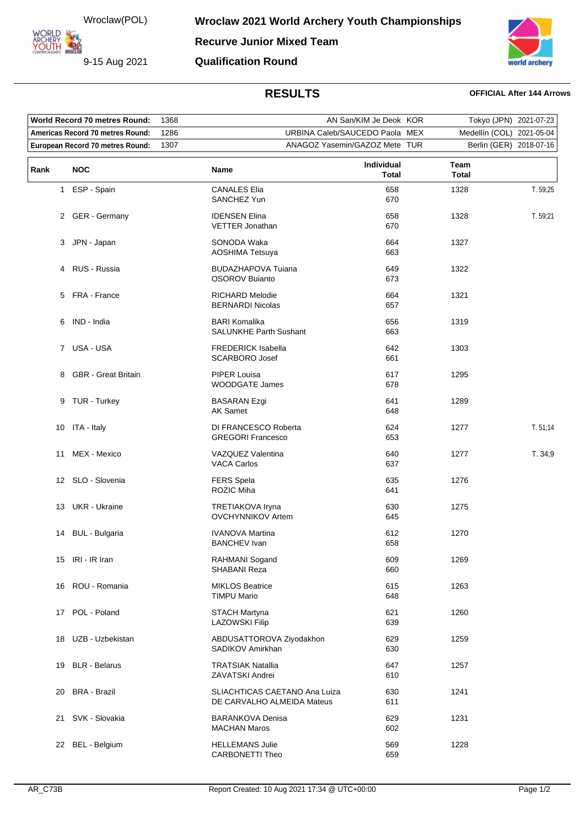Wroclaw(POL)

**ARCHERY<br>YOUTH 422** 

9-15 Aug 2021



**Qualification Round**

## **RESULTS OFFICIAL After 144 Arrows**

| World Record 70 metres Round:            |                            | 1368                           | AN San/KIM Je Deok KOR                                      |                            |                           | Tokyo (JPN) 2021-07-23 |          |
|------------------------------------------|----------------------------|--------------------------------|-------------------------------------------------------------|----------------------------|---------------------------|------------------------|----------|
| 1286<br>Americas Record 70 metres Round: |                            | URBINA Caleb/SAUCEDO Paola MEX |                                                             |                            | Medellín (COL) 2021-05-04 |                        |          |
| 1307<br>European Record 70 metres Round: |                            | ANAGOZ Yasemin/GAZOZ Mete TUR  |                                                             |                            | Berlin (GER) 2018-07-16   |                        |          |
| Rank                                     | <b>NOC</b>                 |                                | Name                                                        | Individual<br><b>Total</b> | Team<br><b>Total</b>      |                        |          |
|                                          | 1 ESP - Spain              |                                | <b>CANALES Elia</b><br>SANCHEZ Yun                          | 658<br>670                 | 1328                      |                        | T. 59,25 |
|                                          | 2 GER - Germany            |                                | <b>IDENSEN Elina</b><br><b>VETTER Jonathan</b>              | 658<br>670                 | 1328                      |                        | T. 59,21 |
|                                          | 3 JPN - Japan              |                                | SONODA Waka<br>AOSHIMA Tetsuya                              | 664<br>663                 | 1327                      |                        |          |
|                                          | 4 RUS - Russia             |                                | <b>BUDAZHAPOVA Tuiana</b><br><b>OSOROV Buianto</b>          | 649<br>673                 | 1322                      |                        |          |
|                                          | 5 FRA - France             |                                | <b>RICHARD Melodie</b><br><b>BERNARDI Nicolas</b>           | 664<br>657                 | 1321                      |                        |          |
| 6                                        | IND - India                |                                | <b>BARI Komalika</b><br><b>SALUNKHE Parth Sushant</b>       | 656<br>663                 | 1319                      |                        |          |
|                                          | 7 USA-USA                  |                                | <b>FREDERICK Isabella</b><br><b>SCARBORO Josef</b>          | 642<br>661                 | 1303                      |                        |          |
| 8                                        | <b>GBR</b> - Great Britain |                                | PIPER Louisa<br>WOODGATE James                              | 617<br>678                 | 1295                      |                        |          |
|                                          | 9 TUR - Turkey             |                                | <b>BASARAN Ezgi</b><br>AK Samet                             | 641<br>648                 | 1289                      |                        |          |
| 10                                       | ITA - Italy                |                                | DI FRANCESCO Roberta<br><b>GREGORI Francesco</b>            | 624<br>653                 | 1277                      |                        | T.51,14  |
| 11                                       | MEX - Mexico               |                                | VAZQUEZ Valentina<br><b>VACA Carlos</b>                     | 640<br>637                 | 1277                      |                        | T. 34;9  |
|                                          | 12 SLO - Slovenia          |                                | <b>FERS Spela</b><br>ROZIC Miha                             | 635<br>641                 | 1276                      |                        |          |
|                                          | 13 UKR - Ukraine           |                                | TRETIAKOVA Iryna<br><b>OVCHYNNIKOV Artem</b>                | 630<br>645                 | 1275                      |                        |          |
| 14                                       | <b>BUL</b> - Bulgaria      |                                | <b>IVANOVA Martina</b><br><b>BANCHEV Ivan</b>               | 612<br>658                 | 1270                      |                        |          |
|                                          | 15 IRI - IR Iran           |                                | RAHMANI Sogand<br><b>SHABANI Reza</b>                       | 609<br>660                 | 1269                      |                        |          |
|                                          | 16 ROU - Romania           |                                | <b>MIKLOS Beatrice</b><br><b>TIMPU Mario</b>                | 615<br>648                 | 1263                      |                        |          |
|                                          | 17 POL - Poland            |                                | <b>STACH Martyna</b><br><b>LAZOWSKI Filip</b>               | 621<br>639                 | 1260                      |                        |          |
| 18                                       | UZB - Uzbekistan           |                                | ABDUSATTOROVA Ziyodakhon<br>SADIKOV Amirkhan                | 629<br>630                 | 1259                      |                        |          |
| 19                                       | <b>BLR</b> - Belarus       |                                | <b>TRATSIAK Natallia</b><br>ZAVATSKI Andrei                 | 647<br>610                 | 1257                      |                        |          |
| 20                                       | <b>BRA - Brazil</b>        |                                | SLIACHTICAS CAETANO Ana Luiza<br>DE CARVALHO ALMEIDA Mateus | 630<br>611                 | 1241                      |                        |          |
|                                          | 21 SVK - Slovakia          |                                | <b>BARANKOVA Denisa</b><br><b>MACHAN Maros</b>              | 629<br>602                 | 1231                      |                        |          |
|                                          | 22 BEL - Belgium           |                                | <b>HELLEMANS Julie</b><br>CARBONETTI Theo                   | 569<br>659                 | 1228                      |                        |          |